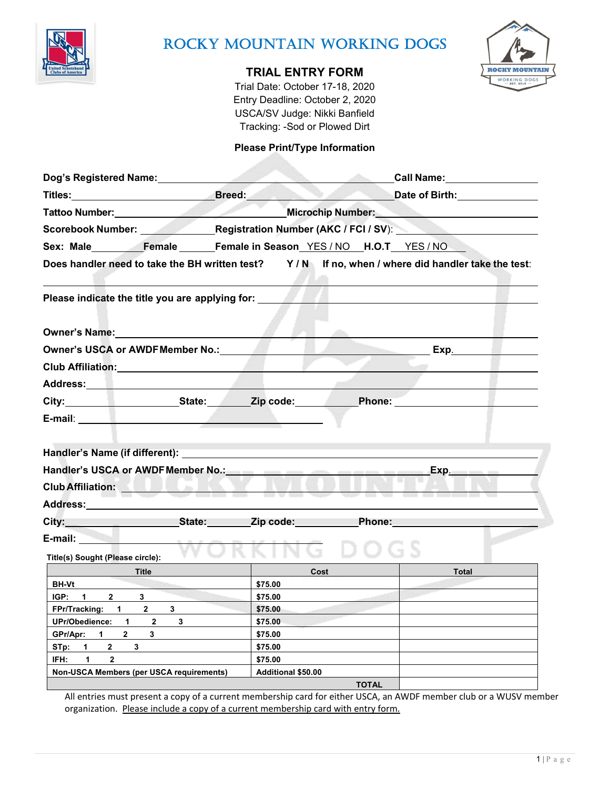

# ROCKY MOUNTAIN WORKING DOGS

## **TRIAL ENTRY FORM**

Trial Date: October 17-18, 2020 Entry Deadline: October 2, 2020 USCA/SV Judge: Nikki Banfield Tracking: -Sod or Plowed Dirt

### **Please Print/Type Information**

| Dog's Registered Name:<br><u>Dog's Registered Name:</u>                                                                                                                                                                              |                                                         | Call Name: Call Name:<br><b>Contract Contract Contract</b> |              |              |  |  |  |
|--------------------------------------------------------------------------------------------------------------------------------------------------------------------------------------------------------------------------------------|---------------------------------------------------------|------------------------------------------------------------|--------------|--------------|--|--|--|
| <b>Titles:</b> Breed:                                                                                                                                                                                                                |                                                         | Date of Birth: 2008                                        |              |              |  |  |  |
| Tattoo Number: <b>With the Community of the Community of the Community of the Community of the Community of the Community of the Community of the Community of the Community of the Community of the Community of the Community </b> |                                                         | Microchip Number: Microchip Number:                        |              |              |  |  |  |
|                                                                                                                                                                                                                                      | Scorebook Number: Registration Number (AKC / FCI / SV): |                                                            |              |              |  |  |  |
| Sex: Male Female Female in Season YES / NO H.O.T YES / NO                                                                                                                                                                            |                                                         |                                                            |              |              |  |  |  |
| Does handler need to take the BH written test? Y/N If no, when / where did handler take the test:                                                                                                                                    |                                                         |                                                            |              |              |  |  |  |
| Please indicate the title you are applying for:                                                                                                                                                                                      |                                                         |                                                            |              |              |  |  |  |
| <b>Owner's Name:</b> Name:                                                                                                                                                                                                           |                                                         |                                                            |              |              |  |  |  |
| <b>Owner's USCA or AWDF Member No.:</b>                                                                                                                                                                                              |                                                         |                                                            |              | Exp.         |  |  |  |
| Club Affiliation: New York 1997                                                                                                                                                                                                      |                                                         |                                                            |              |              |  |  |  |
|                                                                                                                                                                                                                                      |                                                         |                                                            |              |              |  |  |  |
| City: State: Zip code: Phone:                                                                                                                                                                                                        |                                                         |                                                            |              |              |  |  |  |
|                                                                                                                                                                                                                                      |                                                         |                                                            |              |              |  |  |  |
| Handler's Name (if different):<br>Handler's USCA or AWDF Member No.: New York Chandler's USCA or AWDF Member No.:<br><b>Club Affiliation:</b>                                                                                        |                                                         | Exp.                                                       |              |              |  |  |  |
| Address: the contract of the contract of the contract of the contract of the contract of the contract of the contract of the contract of the contract of the contract of the contract of the contract of the contract of the c       |                                                         |                                                            |              |              |  |  |  |
| City: City: City: City: City: City: City: City: City: City: City: City: City: City: City: City: City: City: City: City: City: City: City: City: City: City: City: City: City: City: City: City: City: City: City: City: City:        |                                                         |                                                            |              |              |  |  |  |
| Title(s) Sought (Please circle):                                                                                                                                                                                                     |                                                         |                                                            |              |              |  |  |  |
| Title                                                                                                                                                                                                                                |                                                         | Cost                                                       |              | <b>Total</b> |  |  |  |
| <b>BH-Vt</b>                                                                                                                                                                                                                         |                                                         | \$75.00                                                    |              |              |  |  |  |
| IGP: 1<br>$2^{\sim}$<br>3                                                                                                                                                                                                            |                                                         | \$75.00                                                    |              |              |  |  |  |
| FPr/Tracking: 1 2<br>3<br>UPr/Obedience: 1 2                                                                                                                                                                                         | 3                                                       | \$75.00<br>\$75.00                                         |              |              |  |  |  |
| GPr/Apr: 1<br>$\overline{2}$<br>3                                                                                                                                                                                                    |                                                         | \$75.00                                                    |              |              |  |  |  |
| STp: 1<br>$\mathbf{2}$<br>$3^{\circ}$                                                                                                                                                                                                |                                                         | \$75.00                                                    |              |              |  |  |  |
| IFH:<br>1<br>$\overline{2}$                                                                                                                                                                                                          |                                                         | \$75.00                                                    |              |              |  |  |  |
| Non-USCA Members (per USCA requirements)                                                                                                                                                                                             |                                                         | Additional \$50.00                                         |              |              |  |  |  |
|                                                                                                                                                                                                                                      |                                                         |                                                            | <b>TOTAL</b> |              |  |  |  |

All entries must present a copy of a current membership card for either USCA, an AWDF member club or a WUSV member organization. Please include a copy of a current membership card with entry form.